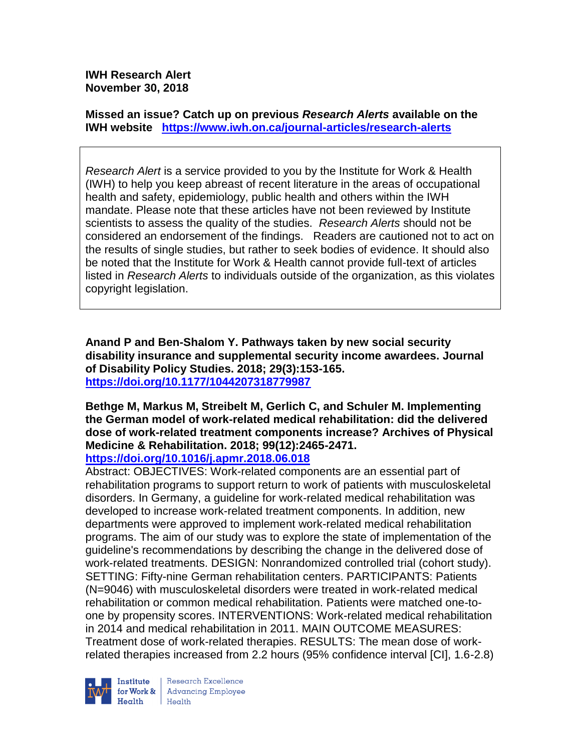**IWH Research Alert November 30, 2018**

**Missed an issue? Catch up on previous** *Research Alerts* **available on the [IWH website](http://www.iwh.on.ca/research-alerts) <https://www.iwh.on.ca/journal-articles/research-alerts>**

*Research Alert* is a service provided to you by the Institute for Work & Health (IWH) to help you keep abreast of recent literature in the areas of occupational health and safety, epidemiology, public health and others within the IWH mandate. Please note that these articles have not been reviewed by Institute scientists to assess the quality of the studies. *Research Alerts* should not be considered an endorsement of the findings. Readers are cautioned not to act on the results of single studies, but rather to seek bodies of evidence. It should also be noted that the Institute for Work & Health cannot provide full-text of articles listed in *Research Alerts* to individuals outside of the organization, as this violates copyright legislation.

**Anand P and Ben-Shalom Y. Pathways taken by new social security disability insurance and supplemental security income awardees. Journal of Disability Policy Studies. 2018; 29(3):153-165. <https://doi.org/10.1177/1044207318779987>** 

**Bethge M, Markus M, Streibelt M, Gerlich C, and Schuler M. Implementing the German model of work-related medical rehabilitation: did the delivered dose of work-related treatment components increase? Archives of Physical Medicine & Rehabilitation. 2018; 99(12):2465-2471.** 

**<https://doi.org/10.1016/j.apmr.2018.06.018>** 

Abstract: OBJECTIVES: Work-related components are an essential part of rehabilitation programs to support return to work of patients with musculoskeletal disorders. In Germany, a guideline for work-related medical rehabilitation was developed to increase work-related treatment components. In addition, new departments were approved to implement work-related medical rehabilitation programs. The aim of our study was to explore the state of implementation of the guideline's recommendations by describing the change in the delivered dose of work-related treatments. DESIGN: Nonrandomized controlled trial (cohort study). SETTING: Fifty-nine German rehabilitation centers. PARTICIPANTS: Patients (N=9046) with musculoskeletal disorders were treated in work-related medical rehabilitation or common medical rehabilitation. Patients were matched one-toone by propensity scores. INTERVENTIONS: Work-related medical rehabilitation in 2014 and medical rehabilitation in 2011. MAIN OUTCOME MEASURES: Treatment dose of work-related therapies. RESULTS: The mean dose of workrelated therapies increased from 2.2 hours (95% confidence interval [CI], 1.6-2.8)



Research Excellence for Work & | Advancing Employee  $H_{\text{each}}$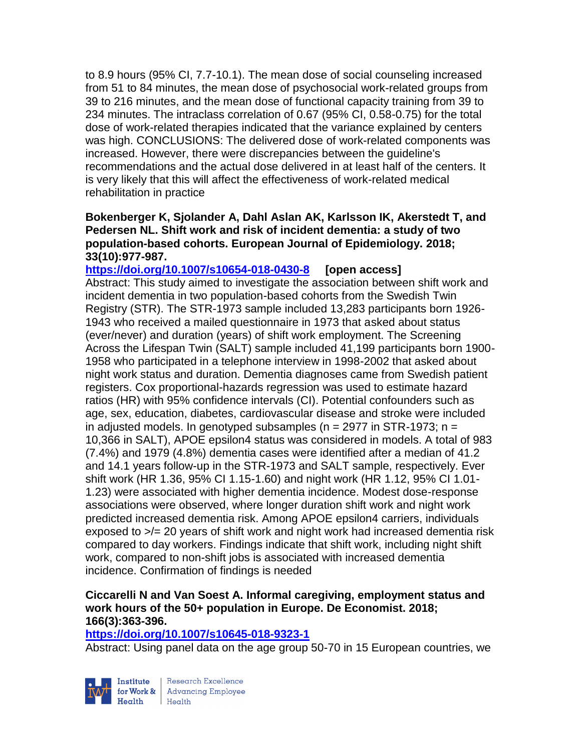to 8.9 hours (95% CI, 7.7-10.1). The mean dose of social counseling increased from 51 to 84 minutes, the mean dose of psychosocial work-related groups from 39 to 216 minutes, and the mean dose of functional capacity training from 39 to 234 minutes. The intraclass correlation of 0.67 (95% CI, 0.58-0.75) for the total dose of work-related therapies indicated that the variance explained by centers was high. CONCLUSIONS: The delivered dose of work-related components was increased. However, there were discrepancies between the guideline's recommendations and the actual dose delivered in at least half of the centers. It is very likely that this will affect the effectiveness of work-related medical rehabilitation in practice

### **Bokenberger K, Sjolander A, Dahl Aslan AK, Karlsson IK, Akerstedt T, and Pedersen NL. Shift work and risk of incident dementia: a study of two population-based cohorts. European Journal of Epidemiology. 2018; 33(10):977-987.**

**<https://doi.org/10.1007/s10654-018-0430-8> [open access]** Abstract: This study aimed to investigate the association between shift work and incident dementia in two population-based cohorts from the Swedish Twin Registry (STR). The STR-1973 sample included 13,283 participants born 1926- 1943 who received a mailed questionnaire in 1973 that asked about status (ever/never) and duration (years) of shift work employment. The Screening Across the Lifespan Twin (SALT) sample included 41,199 participants born 1900- 1958 who participated in a telephone interview in 1998-2002 that asked about night work status and duration. Dementia diagnoses came from Swedish patient registers. Cox proportional-hazards regression was used to estimate hazard ratios (HR) with 95% confidence intervals (CI). Potential confounders such as age, sex, education, diabetes, cardiovascular disease and stroke were included in adjusted models. In genotyped subsamples ( $n = 2977$  in STR-1973;  $n =$ 10,366 in SALT), APOE epsilon4 status was considered in models. A total of 983 (7.4%) and 1979 (4.8%) dementia cases were identified after a median of 41.2 and 14.1 years follow-up in the STR-1973 and SALT sample, respectively. Ever shift work (HR 1.36, 95% CI 1.15-1.60) and night work (HR 1.12, 95% CI 1.01- 1.23) were associated with higher dementia incidence. Modest dose-response associations were observed, where longer duration shift work and night work predicted increased dementia risk. Among APOE epsilon4 carriers, individuals exposed to >/= 20 years of shift work and night work had increased dementia risk compared to day workers. Findings indicate that shift work, including night shift work, compared to non-shift jobs is associated with increased dementia incidence. Confirmation of findings is needed

## **Ciccarelli N and Van Soest A. Informal caregiving, employment status and work hours of the 50+ population in Europe. De Economist. 2018; 166(3):363-396.**

#### **<https://doi.org/10.1007/s10645-018-9323-1>**

Abstract: Using panel data on the age group 50-70 in 15 European countries, we

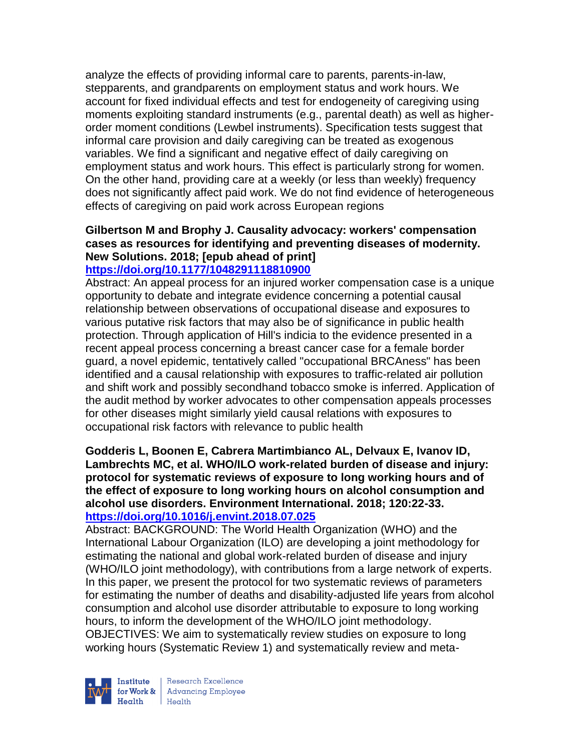analyze the effects of providing informal care to parents, parents-in-law, stepparents, and grandparents on employment status and work hours. We account for fixed individual effects and test for endogeneity of caregiving using moments exploiting standard instruments (e.g., parental death) as well as higherorder moment conditions (Lewbel instruments). Specification tests suggest that informal care provision and daily caregiving can be treated as exogenous variables. We find a significant and negative effect of daily caregiving on employment status and work hours. This effect is particularly strong for women. On the other hand, providing care at a weekly (or less than weekly) frequency does not significantly affect paid work. We do not find evidence of heterogeneous effects of caregiving on paid work across European regions

# **Gilbertson M and Brophy J. Causality advocacy: workers' compensation cases as resources for identifying and preventing diseases of modernity. New Solutions. 2018; [epub ahead of print]**

## **<https://doi.org/10.1177/1048291118810900>**

Abstract: An appeal process for an injured worker compensation case is a unique opportunity to debate and integrate evidence concerning a potential causal relationship between observations of occupational disease and exposures to various putative risk factors that may also be of significance in public health protection. Through application of Hill's indicia to the evidence presented in a recent appeal process concerning a breast cancer case for a female border guard, a novel epidemic, tentatively called "occupational BRCAness" has been identified and a causal relationship with exposures to traffic-related air pollution and shift work and possibly secondhand tobacco smoke is inferred. Application of the audit method by worker advocates to other compensation appeals processes for other diseases might similarly yield causal relations with exposures to occupational risk factors with relevance to public health

### **Godderis L, Boonen E, Cabrera Martimbianco AL, Delvaux E, Ivanov ID, Lambrechts MC, et al. WHO/ILO work-related burden of disease and injury: protocol for systematic reviews of exposure to long working hours and of the effect of exposure to long working hours on alcohol consumption and alcohol use disorders. Environment International. 2018; 120:22-33. <https://doi.org/10.1016/j.envint.2018.07.025>**

Abstract: BACKGROUND: The World Health Organization (WHO) and the International Labour Organization (ILO) are developing a joint methodology for estimating the national and global work-related burden of disease and injury (WHO/ILO joint methodology), with contributions from a large network of experts. In this paper, we present the protocol for two systematic reviews of parameters for estimating the number of deaths and disability-adjusted life years from alcohol consumption and alcohol use disorder attributable to exposure to long working hours, to inform the development of the WHO/ILO joint methodology. OBJECTIVES: We aim to systematically review studies on exposure to long working hours (Systematic Review 1) and systematically review and meta-

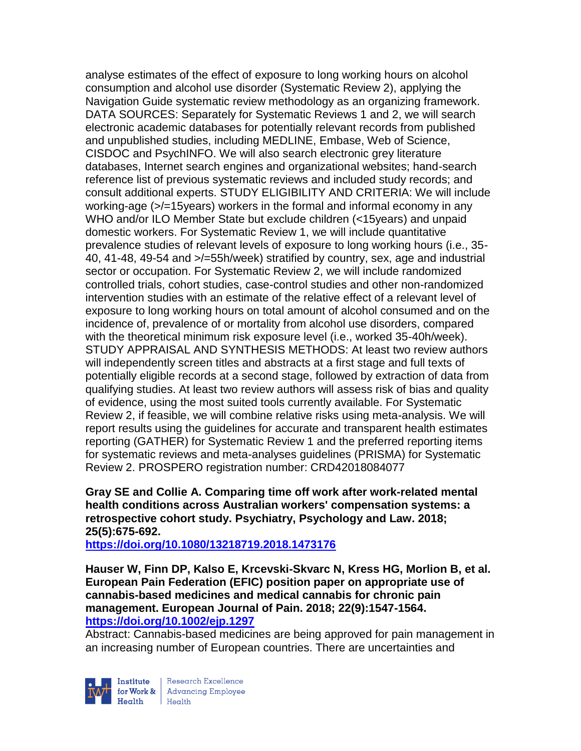analyse estimates of the effect of exposure to long working hours on alcohol consumption and alcohol use disorder (Systematic Review 2), applying the Navigation Guide systematic review methodology as an organizing framework. DATA SOURCES: Separately for Systematic Reviews 1 and 2, we will search electronic academic databases for potentially relevant records from published and unpublished studies, including MEDLINE, Embase, Web of Science, CISDOC and PsychINFO. We will also search electronic grey literature databases, Internet search engines and organizational websites; hand-search reference list of previous systematic reviews and included study records; and consult additional experts. STUDY ELIGIBILITY AND CRITERIA: We will include working-age (>/=15years) workers in the formal and informal economy in any WHO and/or ILO Member State but exclude children (<15years) and unpaid domestic workers. For Systematic Review 1, we will include quantitative prevalence studies of relevant levels of exposure to long working hours (i.e., 35- 40, 41-48, 49-54 and >/=55h/week) stratified by country, sex, age and industrial sector or occupation. For Systematic Review 2, we will include randomized controlled trials, cohort studies, case-control studies and other non-randomized intervention studies with an estimate of the relative effect of a relevant level of exposure to long working hours on total amount of alcohol consumed and on the incidence of, prevalence of or mortality from alcohol use disorders, compared with the theoretical minimum risk exposure level (i.e., worked 35-40h/week). STUDY APPRAISAL AND SYNTHESIS METHODS: At least two review authors will independently screen titles and abstracts at a first stage and full texts of potentially eligible records at a second stage, followed by extraction of data from qualifying studies. At least two review authors will assess risk of bias and quality of evidence, using the most suited tools currently available. For Systematic Review 2, if feasible, we will combine relative risks using meta-analysis. We will report results using the guidelines for accurate and transparent health estimates reporting (GATHER) for Systematic Review 1 and the preferred reporting items for systematic reviews and meta-analyses guidelines (PRISMA) for Systematic Review 2. PROSPERO registration number: CRD42018084077

**Gray SE and Collie A. Comparing time off work after work-related mental health conditions across Australian workers' compensation systems: a retrospective cohort study. Psychiatry, Psychology and Law. 2018; 25(5):675-692.** 

**<https://doi.org/10.1080/13218719.2018.1473176>** 

**Hauser W, Finn DP, Kalso E, Krcevski-Skvarc N, Kress HG, Morlion B, et al. European Pain Federation (EFIC) position paper on appropriate use of cannabis-based medicines and medical cannabis for chronic pain management. European Journal of Pain. 2018; 22(9):1547-1564. <https://doi.org/10.1002/ejp.1297>** 

Abstract: Cannabis-based medicines are being approved for pain management in an increasing number of European countries. There are uncertainties and

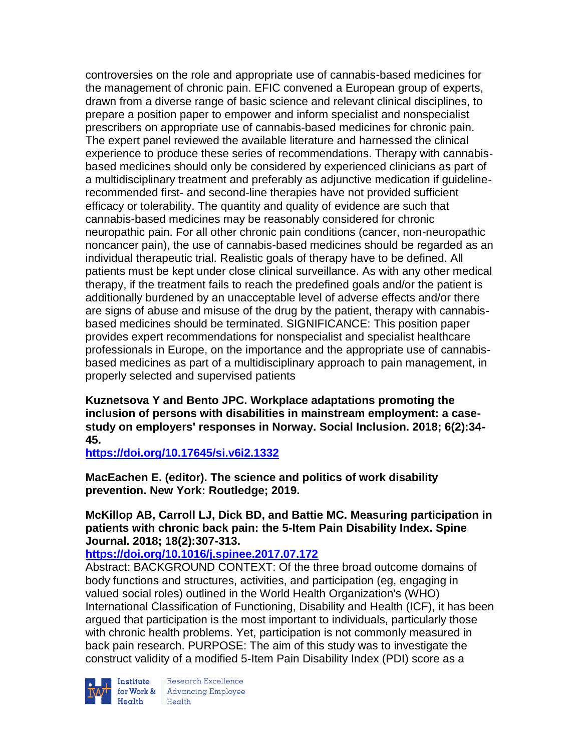controversies on the role and appropriate use of cannabis-based medicines for the management of chronic pain. EFIC convened a European group of experts, drawn from a diverse range of basic science and relevant clinical disciplines, to prepare a position paper to empower and inform specialist and nonspecialist prescribers on appropriate use of cannabis-based medicines for chronic pain. The expert panel reviewed the available literature and harnessed the clinical experience to produce these series of recommendations. Therapy with cannabisbased medicines should only be considered by experienced clinicians as part of a multidisciplinary treatment and preferably as adjunctive medication if guidelinerecommended first- and second-line therapies have not provided sufficient efficacy or tolerability. The quantity and quality of evidence are such that cannabis-based medicines may be reasonably considered for chronic neuropathic pain. For all other chronic pain conditions (cancer, non-neuropathic noncancer pain), the use of cannabis-based medicines should be regarded as an individual therapeutic trial. Realistic goals of therapy have to be defined. All patients must be kept under close clinical surveillance. As with any other medical therapy, if the treatment fails to reach the predefined goals and/or the patient is additionally burdened by an unacceptable level of adverse effects and/or there are signs of abuse and misuse of the drug by the patient, therapy with cannabisbased medicines should be terminated. SIGNIFICANCE: This position paper provides expert recommendations for nonspecialist and specialist healthcare professionals in Europe, on the importance and the appropriate use of cannabisbased medicines as part of a multidisciplinary approach to pain management, in properly selected and supervised patients

**Kuznetsova Y and Bento JPC. Workplace adaptations promoting the inclusion of persons with disabilities in mainstream employment: a casestudy on employers' responses in Norway. Social Inclusion. 2018; 6(2):34- 45.** 

**<https://doi.org/10.17645/si.v6i2.1332>** 

**MacEachen E. (editor). The science and politics of work disability prevention. New York: Routledge; 2019.** 

## **McKillop AB, Carroll LJ, Dick BD, and Battie MC. Measuring participation in patients with chronic back pain: the 5-Item Pain Disability Index. Spine Journal. 2018; 18(2):307-313.**

## **<https://doi.org/10.1016/j.spinee.2017.07.172>**

Abstract: BACKGROUND CONTEXT: Of the three broad outcome domains of body functions and structures, activities, and participation (eg, engaging in valued social roles) outlined in the World Health Organization's (WHO) International Classification of Functioning, Disability and Health (ICF), it has been argued that participation is the most important to individuals, particularly those with chronic health problems. Yet, participation is not commonly measured in back pain research. PURPOSE: The aim of this study was to investigate the construct validity of a modified 5-Item Pain Disability Index (PDI) score as a



Institute Research Excellence<br>
for Work & Advancing Employee<br>
Health Health  $Heath$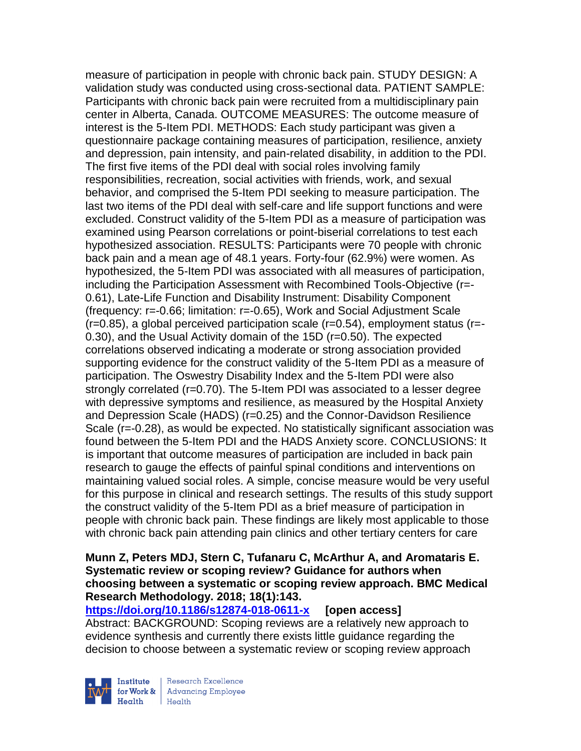measure of participation in people with chronic back pain. STUDY DESIGN: A validation study was conducted using cross-sectional data. PATIENT SAMPLE: Participants with chronic back pain were recruited from a multidisciplinary pain center in Alberta, Canada. OUTCOME MEASURES: The outcome measure of interest is the 5-Item PDI. METHODS: Each study participant was given a questionnaire package containing measures of participation, resilience, anxiety and depression, pain intensity, and pain-related disability, in addition to the PDI. The first five items of the PDI deal with social roles involving family responsibilities, recreation, social activities with friends, work, and sexual behavior, and comprised the 5-Item PDI seeking to measure participation. The last two items of the PDI deal with self-care and life support functions and were excluded. Construct validity of the 5-Item PDI as a measure of participation was examined using Pearson correlations or point-biserial correlations to test each hypothesized association. RESULTS: Participants were 70 people with chronic back pain and a mean age of 48.1 years. Forty-four (62.9%) were women. As hypothesized, the 5-Item PDI was associated with all measures of participation, including the Participation Assessment with Recombined Tools-Objective (r=- 0.61), Late-Life Function and Disability Instrument: Disability Component (frequency: r=-0.66; limitation: r=-0.65), Work and Social Adjustment Scale  $(r=0.85)$ , a global perceived participation scale  $(r=0.54)$ , employment status  $(r=0.54)$ 0.30), and the Usual Activity domain of the 15D (r=0.50). The expected correlations observed indicating a moderate or strong association provided supporting evidence for the construct validity of the 5-Item PDI as a measure of participation. The Oswestry Disability Index and the 5-Item PDI were also strongly correlated (r=0.70). The 5-Item PDI was associated to a lesser degree with depressive symptoms and resilience, as measured by the Hospital Anxiety and Depression Scale (HADS) (r=0.25) and the Connor-Davidson Resilience Scale (r=-0.28), as would be expected. No statistically significant association was found between the 5-Item PDI and the HADS Anxiety score. CONCLUSIONS: It is important that outcome measures of participation are included in back pain research to gauge the effects of painful spinal conditions and interventions on maintaining valued social roles. A simple, concise measure would be very useful for this purpose in clinical and research settings. The results of this study support the construct validity of the 5-Item PDI as a brief measure of participation in people with chronic back pain. These findings are likely most applicable to those with chronic back pain attending pain clinics and other tertiary centers for care

#### **Munn Z, Peters MDJ, Stern C, Tufanaru C, McArthur A, and Aromataris E. Systematic review or scoping review? Guidance for authors when choosing between a systematic or scoping review approach. BMC Medical Research Methodology. 2018; 18(1):143.**

**<https://doi.org/10.1186/s12874-018-0611-x> [open access]** Abstract: BACKGROUND: Scoping reviews are a relatively new approach to evidence synthesis and currently there exists little guidance regarding the decision to choose between a systematic review or scoping review approach

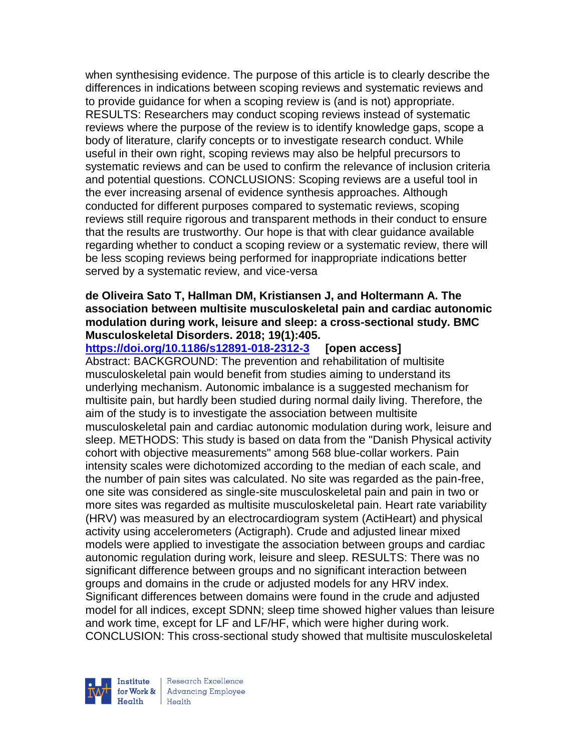when synthesising evidence. The purpose of this article is to clearly describe the differences in indications between scoping reviews and systematic reviews and to provide guidance for when a scoping review is (and is not) appropriate. RESULTS: Researchers may conduct scoping reviews instead of systematic reviews where the purpose of the review is to identify knowledge gaps, scope a body of literature, clarify concepts or to investigate research conduct. While useful in their own right, scoping reviews may also be helpful precursors to systematic reviews and can be used to confirm the relevance of inclusion criteria and potential questions. CONCLUSIONS: Scoping reviews are a useful tool in the ever increasing arsenal of evidence synthesis approaches. Although conducted for different purposes compared to systematic reviews, scoping reviews still require rigorous and transparent methods in their conduct to ensure that the results are trustworthy. Our hope is that with clear guidance available regarding whether to conduct a scoping review or a systematic review, there will be less scoping reviews being performed for inappropriate indications better served by a systematic review, and vice-versa

### **de Oliveira Sato T, Hallman DM, Kristiansen J, and Holtermann A. The association between multisite musculoskeletal pain and cardiac autonomic modulation during work, leisure and sleep: a cross-sectional study. BMC Musculoskeletal Disorders. 2018; 19(1):405.**

**<https://doi.org/10.1186/s12891-018-2312-3> [open access]**

Abstract: BACKGROUND: The prevention and rehabilitation of multisite musculoskeletal pain would benefit from studies aiming to understand its underlying mechanism. Autonomic imbalance is a suggested mechanism for multisite pain, but hardly been studied during normal daily living. Therefore, the aim of the study is to investigate the association between multisite musculoskeletal pain and cardiac autonomic modulation during work, leisure and sleep. METHODS: This study is based on data from the "Danish Physical activity cohort with objective measurements" among 568 blue-collar workers. Pain intensity scales were dichotomized according to the median of each scale, and the number of pain sites was calculated. No site was regarded as the pain-free, one site was considered as single-site musculoskeletal pain and pain in two or more sites was regarded as multisite musculoskeletal pain. Heart rate variability (HRV) was measured by an electrocardiogram system (ActiHeart) and physical activity using accelerometers (Actigraph). Crude and adjusted linear mixed models were applied to investigate the association between groups and cardiac autonomic regulation during work, leisure and sleep. RESULTS: There was no significant difference between groups and no significant interaction between groups and domains in the crude or adjusted models for any HRV index. Significant differences between domains were found in the crude and adjusted model for all indices, except SDNN; sleep time showed higher values than leisure and work time, except for LF and LF/HF, which were higher during work. CONCLUSION: This cross-sectional study showed that multisite musculoskeletal

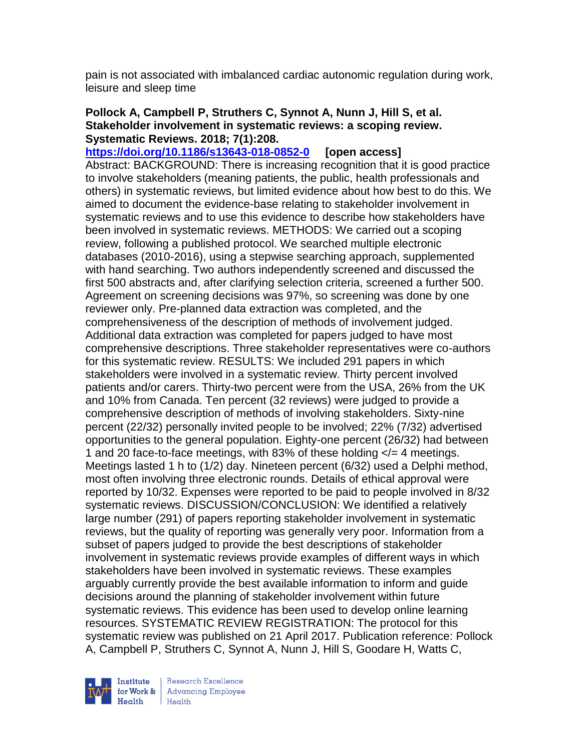pain is not associated with imbalanced cardiac autonomic regulation during work, leisure and sleep time

#### **Pollock A, Campbell P, Struthers C, Synnot A, Nunn J, Hill S, et al. Stakeholder involvement in systematic reviews: a scoping review. Systematic Reviews. 2018; 7(1):208.**

**<https://doi.org/10.1186/s13643-018-0852-0> [open access]** Abstract: BACKGROUND: There is increasing recognition that it is good practice to involve stakeholders (meaning patients, the public, health professionals and others) in systematic reviews, but limited evidence about how best to do this. We aimed to document the evidence-base relating to stakeholder involvement in systematic reviews and to use this evidence to describe how stakeholders have been involved in systematic reviews. METHODS: We carried out a scoping review, following a published protocol. We searched multiple electronic databases (2010-2016), using a stepwise searching approach, supplemented with hand searching. Two authors independently screened and discussed the first 500 abstracts and, after clarifying selection criteria, screened a further 500. Agreement on screening decisions was 97%, so screening was done by one reviewer only. Pre-planned data extraction was completed, and the comprehensiveness of the description of methods of involvement judged. Additional data extraction was completed for papers judged to have most comprehensive descriptions. Three stakeholder representatives were co-authors for this systematic review. RESULTS: We included 291 papers in which stakeholders were involved in a systematic review. Thirty percent involved patients and/or carers. Thirty-two percent were from the USA, 26% from the UK and 10% from Canada. Ten percent (32 reviews) were judged to provide a comprehensive description of methods of involving stakeholders. Sixty-nine percent (22/32) personally invited people to be involved; 22% (7/32) advertised opportunities to the general population. Eighty-one percent (26/32) had between 1 and 20 face-to-face meetings, with 83% of these holding  $\lt$  = 4 meetings. Meetings lasted 1 h to (1/2) day. Nineteen percent (6/32) used a Delphi method, most often involving three electronic rounds. Details of ethical approval were reported by 10/32. Expenses were reported to be paid to people involved in 8/32 systematic reviews. DISCUSSION/CONCLUSION: We identified a relatively large number (291) of papers reporting stakeholder involvement in systematic reviews, but the quality of reporting was generally very poor. Information from a subset of papers judged to provide the best descriptions of stakeholder involvement in systematic reviews provide examples of different ways in which stakeholders have been involved in systematic reviews. These examples arguably currently provide the best available information to inform and guide decisions around the planning of stakeholder involvement within future systematic reviews. This evidence has been used to develop online learning resources. SYSTEMATIC REVIEW REGISTRATION: The protocol for this systematic review was published on 21 April 2017. Publication reference: Pollock A, Campbell P, Struthers C, Synnot A, Nunn J, Hill S, Goodare H, Watts C,

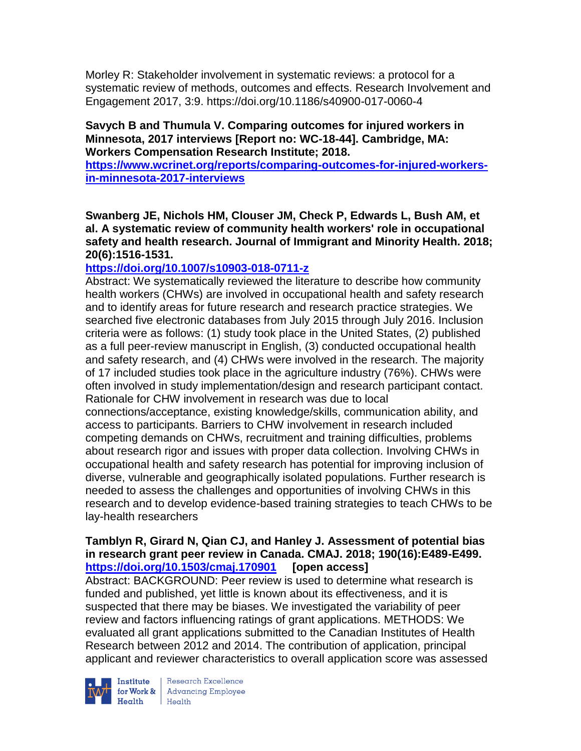Morley R: Stakeholder involvement in systematic reviews: a protocol for a systematic review of methods, outcomes and effects. Research Involvement and Engagement 2017, 3:9. https://doi.org/10.1186/s40900-017-0060-4

#### **Savych B and Thumula V. Comparing outcomes for injured workers in Minnesota, 2017 interviews [Report no: WC-18-44]. Cambridge, MA: Workers Compensation Research Institute; 2018.**

**[https://www.wcrinet.org/reports/comparing-outcomes-for-injured-workers](https://www.wcrinet.org/reports/comparing-outcomes-for-injured-workers-in-minnesota-2017-interviews)[in-minnesota-2017-interviews](https://www.wcrinet.org/reports/comparing-outcomes-for-injured-workers-in-minnesota-2017-interviews)**

**Swanberg JE, Nichols HM, Clouser JM, Check P, Edwards L, Bush AM, et al. A systematic review of community health workers' role in occupational safety and health research. Journal of Immigrant and Minority Health. 2018; 20(6):1516-1531.** 

## **<https://doi.org/10.1007/s10903-018-0711-z>**

Abstract: We systematically reviewed the literature to describe how community health workers (CHWs) are involved in occupational health and safety research and to identify areas for future research and research practice strategies. We searched five electronic databases from July 2015 through July 2016. Inclusion criteria were as follows: (1) study took place in the United States, (2) published as a full peer-review manuscript in English, (3) conducted occupational health and safety research, and (4) CHWs were involved in the research. The majority of 17 included studies took place in the agriculture industry (76%). CHWs were often involved in study implementation/design and research participant contact. Rationale for CHW involvement in research was due to local connections/acceptance, existing knowledge/skills, communication ability, and access to participants. Barriers to CHW involvement in research included competing demands on CHWs, recruitment and training difficulties, problems about research rigor and issues with proper data collection. Involving CHWs in occupational health and safety research has potential for improving inclusion of diverse, vulnerable and geographically isolated populations. Further research is needed to assess the challenges and opportunities of involving CHWs in this research and to develop evidence-based training strategies to teach CHWs to be lay-health researchers

### **Tamblyn R, Girard N, Qian CJ, and Hanley J. Assessment of potential bias in research grant peer review in Canada. CMAJ. 2018; 190(16):E489-E499. <https://doi.org/10.1503/cmaj.170901> [open access]**

Abstract: BACKGROUND: Peer review is used to determine what research is funded and published, yet little is known about its effectiveness, and it is suspected that there may be biases. We investigated the variability of peer review and factors influencing ratings of grant applications. METHODS: We evaluated all grant applications submitted to the Canadian Institutes of Health Research between 2012 and 2014. The contribution of application, principal applicant and reviewer characteristics to overall application score was assessed



Institute | Research Excellence<br>
for Work & | Advancing Employee<br>
Health Health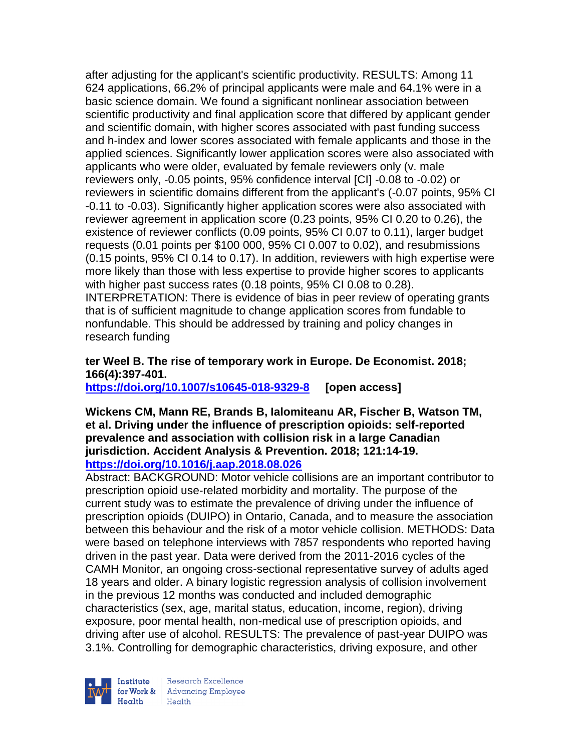after adjusting for the applicant's scientific productivity. RESULTS: Among 11 624 applications, 66.2% of principal applicants were male and 64.1% were in a basic science domain. We found a significant nonlinear association between scientific productivity and final application score that differed by applicant gender and scientific domain, with higher scores associated with past funding success and h-index and lower scores associated with female applicants and those in the applied sciences. Significantly lower application scores were also associated with applicants who were older, evaluated by female reviewers only (v. male reviewers only, -0.05 points, 95% confidence interval [CI] -0.08 to -0.02) or reviewers in scientific domains different from the applicant's (-0.07 points, 95% CI -0.11 to -0.03). Significantly higher application scores were also associated with reviewer agreement in application score (0.23 points, 95% CI 0.20 to 0.26), the existence of reviewer conflicts (0.09 points, 95% CI 0.07 to 0.11), larger budget requests (0.01 points per \$100 000, 95% CI 0.007 to 0.02), and resubmissions (0.15 points, 95% CI 0.14 to 0.17). In addition, reviewers with high expertise were more likely than those with less expertise to provide higher scores to applicants with higher past success rates (0.18 points, 95% CI 0.08 to 0.28). INTERPRETATION: There is evidence of bias in peer review of operating grants that is of sufficient magnitude to change application scores from fundable to nonfundable. This should be addressed by training and policy changes in research funding

# **ter Weel B. The rise of temporary work in Europe. De Economist. 2018; 166(4):397-401.**

**<https://doi.org/10.1007/s10645-018-9329-8> [open access]**

#### **Wickens CM, Mann RE, Brands B, Ialomiteanu AR, Fischer B, Watson TM, et al. Driving under the influence of prescription opioids: self-reported prevalence and association with collision risk in a large Canadian jurisdiction. Accident Analysis & Prevention. 2018; 121:14-19. <https://doi.org/10.1016/j.aap.2018.08.026>**

Abstract: BACKGROUND: Motor vehicle collisions are an important contributor to prescription opioid use-related morbidity and mortality. The purpose of the current study was to estimate the prevalence of driving under the influence of prescription opioids (DUIPO) in Ontario, Canada, and to measure the association between this behaviour and the risk of a motor vehicle collision. METHODS: Data were based on telephone interviews with 7857 respondents who reported having driven in the past year. Data were derived from the 2011-2016 cycles of the CAMH Monitor, an ongoing cross-sectional representative survey of adults aged 18 years and older. A binary logistic regression analysis of collision involvement in the previous 12 months was conducted and included demographic characteristics (sex, age, marital status, education, income, region), driving exposure, poor mental health, non-medical use of prescription opioids, and driving after use of alcohol. RESULTS: The prevalence of past-year DUIPO was 3.1%. Controlling for demographic characteristics, driving exposure, and other